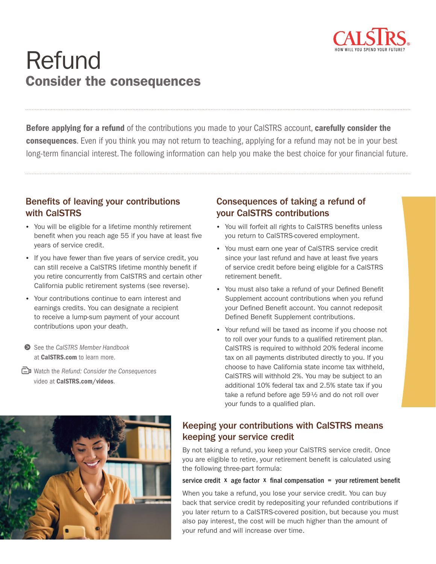

# Refund Consider the consequences

**Before applying for a refund** of the contributions you made to your CalSTRS account, **carefully consider the consequences**. Even if you think you may not return to teaching, applying for a refund may not be in your best long-term financial interest. The following information can help you make the best choice for your financial future.

#### Benefits of leaving your contributions with CalSTRS

- You will be eligible for a lifetime monthly retirement benefit when you reach age 55 if you have at least five years of service credit.
- If you have fewer than five years of service credit, you can still receive a CalSTRS lifetime monthly benefit if you retire concurrently from CalSTRS and certain other California public retirement systems (see reverse).
- Your contributions continue to earn interest and earnings credits. You can designate a recipient to receive a lump-sum payment of your account contributions upon your death.
- See the *CalSTRS Member Handbook* at [CalSTRS.com](http://CalSTRS.com) to learn more.
- Watch the *Refund: Consider the Consequences* video at [CalSTRS.com/videos](http://CalSTRS.com/videos).

#### Consequences of taking a refund of your CalSTRS contributions

- You will forfeit all rights to CalSTRS benefits unless you return to CalSTRS-covered employment.
- You must earn one year of CalSTRS service credit since your last refund and have at least five years of service credit before being eligible for a CalSTRS retirement benefit.
- You must also take a refund of your Defined Benefit Supplement account contributions when you refund your Defined Benefit account. You cannot redeposit Defined Benefit Supplement contributions.
- Your refund will be taxed as income if you choose not to roll over your funds to a qualified retirement plan. CalSTRS is required to withhold 20% federal income tax on all payments distributed directly to you. If you choose to have California state income tax withheld, CalSTRS will withhold 2%. You may be subject to an additional 10% federal tax and 2.5% state tax if you take a refund before age 59 ½ and do not roll over your funds to a qualified plan.



#### Keeping your contributions with CalSTRS means keeping your service credit

By not taking a refund, you keep your CalSTRS service credit. Once you are eligible to retire, your retirement benefit is calculated using the following three-part formula:

#### service credit  $x$  age factor  $x$  final compensation = your retirement benefit

When you take a refund, you lose your service credit. You can buy back that service credit by redepositing your refunded contributions if you later return to a CalSTRS-covered position, but because you must also pay interest, the cost will be much higher than the amount of your refund and will increase over time.